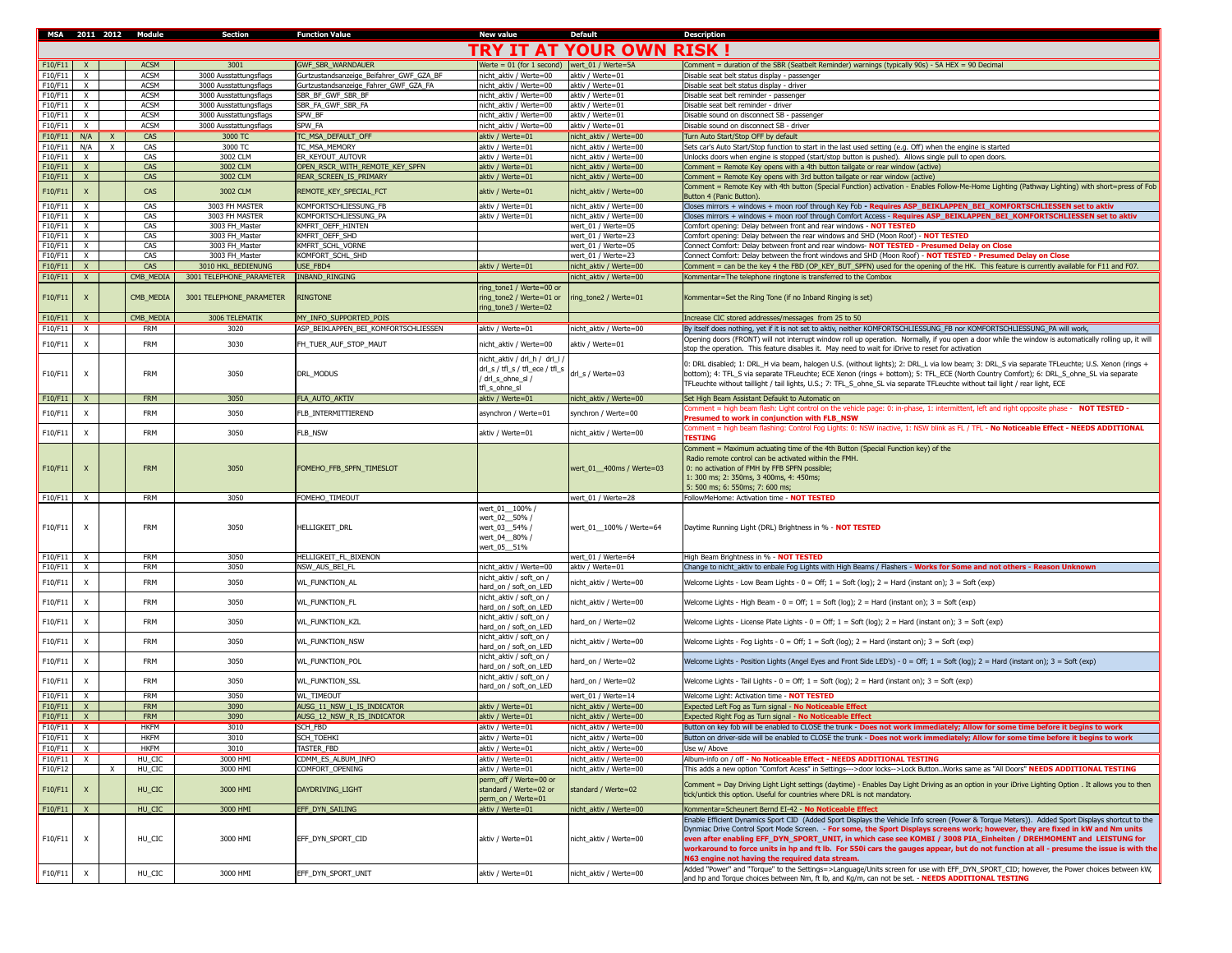|                            |                              |              |                     | MSA 2011 2012 Module Section             | <b>Function Value</b>                    | <b>New value</b>                                                                                       | Default                                          | <b>Description</b>                                                                                                                                                                                                                                                                                                                                                                                                                                                                                                                                                                                      |
|----------------------------|------------------------------|--------------|---------------------|------------------------------------------|------------------------------------------|--------------------------------------------------------------------------------------------------------|--------------------------------------------------|---------------------------------------------------------------------------------------------------------------------------------------------------------------------------------------------------------------------------------------------------------------------------------------------------------------------------------------------------------------------------------------------------------------------------------------------------------------------------------------------------------------------------------------------------------------------------------------------------------|
|                            |                              |              |                     |                                          |                                          |                                                                                                        | YOUR OWN                                         | <b>RISK</b>                                                                                                                                                                                                                                                                                                                                                                                                                                                                                                                                                                                             |
| F10/F11                    | $\mathsf{X}$                 |              | ACSM                | 3001                                     | <b>GWF SBR WARNDAUER</b>                 | Werte = $01$ (for 1 second)   wert $01$ / Werte=5A                                                     |                                                  | Comment = duration of the SBR (Seatbelt Reminder) warnings (typically 90s) - 5A HEX = 90 Decimal                                                                                                                                                                                                                                                                                                                                                                                                                                                                                                        |
| F10/F11                    | $\boldsymbol{\mathsf{X}}$    |              | <b>ACSM</b>         | 3000 Ausstattungsflags                   | Gurtzustandsanzeige_Beifahrer_GWF_GZA_BF | nicht_aktiv / Werte=00                                                                                 | aktiv / Werte=01                                 | Disable seat belt status display - passenger                                                                                                                                                                                                                                                                                                                                                                                                                                                                                                                                                            |
| F10/F11                    | $\mathsf{X}$                 |              | <b>ACSM</b>         | 3000 Ausstattungsflags                   | Gurtzustandsanzeige_Fahrer_GWF_GZA_FA    | nicht_aktiv / Werte=00                                                                                 | aktiv / Werte=01                                 | Disable seat belt status display - driver                                                                                                                                                                                                                                                                                                                                                                                                                                                                                                                                                               |
| F10/F11                    | $\mathsf{x}$                 |              | <b>ACSM</b>         | 3000 Ausstattungsflags                   | SBR_BF_GWF_SBR_BF                        | nicht_aktiv / Werte=00                                                                                 | aktiv / Werte=01                                 | Disable seat belt reminder - passenger                                                                                                                                                                                                                                                                                                                                                                                                                                                                                                                                                                  |
| F10/F11                    | $\mathsf{x}$                 |              | <b>ACSM</b>         | 3000 Ausstattungsflags                   | SBR_FA_GWF_SBR_FA                        | nicht_aktiv / Werte=00                                                                                 | aktiv / Werte=01                                 | Disable seat belt reminder - driver                                                                                                                                                                                                                                                                                                                                                                                                                                                                                                                                                                     |
| F10/F11                    | $\overline{x}$               |              | <b>ACSM</b>         | 3000 Ausstattungsflags                   | SPW_BF                                   | nicht_aktiv / Werte=00                                                                                 | aktiv / Werte=01                                 | Disable sound on disconnect SB - passenger                                                                                                                                                                                                                                                                                                                                                                                                                                                                                                                                                              |
| F10/F11                    | $\mathsf{X}$                 |              | <b>ACSM</b>         | 3000 Ausstattungsflags                   | SPW FA                                   | nicht_aktiv / Werte=00                                                                                 | laktiv / Werte=01                                | Disable sound on disconnect SB - driver                                                                                                                                                                                                                                                                                                                                                                                                                                                                                                                                                                 |
| F10/F11                    | N/A                          | X            | CAS                 | 3000 TC                                  | TC_MSA_DEFAULT_OFF                       | aktiv / Werte=01                                                                                       | nicht_aktiv / Werte=00                           | Turn Auto Start/Stop OFF by default                                                                                                                                                                                                                                                                                                                                                                                                                                                                                                                                                                     |
| F10/F11<br>F10/F11         | N/A<br>$\mathsf{X}$          | X            | CAS<br>CAS          | 3000 TC<br>3002 CLM                      | TC MSA MEMORY<br>ER_KEYOUT_AUTOVR        | aktiv / Werte=01<br>aktiv / Werte=01                                                                   | nicht aktiv / Werte=00<br>nicht_aktiv / Werte=00 | Sets car's Auto Start/Stop function to start in the last used setting (e.g. Off) when the engine is started<br>Unlocks doors when engine is stopped (start/stop button is pushed). Allows single pull to open doors.                                                                                                                                                                                                                                                                                                                                                                                    |
| F10/F11                    | $\mathsf X$                  |              | CAS                 | 3002 CLM                                 | OPEN_RSCR_WITH_REMOTE_KEY_SPFN           | aktiv / Werte=01                                                                                       | nicht_aktiv / Werte=00                           | Comment = Remote Key opens with a 4th button tailgate or rear window (active)                                                                                                                                                                                                                                                                                                                                                                                                                                                                                                                           |
| F10/F11                    | $\mathsf{x}$                 |              | CAS                 | 3002 CLM                                 | REAR_SCREEN_IS_PRIMARY                   | aktiv / Werte=01                                                                                       | nicht_aktiv / Werte=00                           | Comment = Remote Key opens with 3rd button tailgate or rear window (active)                                                                                                                                                                                                                                                                                                                                                                                                                                                                                                                             |
|                            |                              |              |                     |                                          |                                          |                                                                                                        |                                                  | Comment = Remote Key with 4th button (Special Function) activation - Enables Follow-Me-Home Lighting (Pathway Lighting) with short=press of Fob                                                                                                                                                                                                                                                                                                                                                                                                                                                         |
| F10/F11                    | $\boldsymbol{X}$             |              | CAS                 | 3002 CLM                                 | REMOTE_KEY_SPECIAL_FCT                   | aktiv / Werte=01                                                                                       | nicht_aktiv / Werte=00                           | Button 4 (Panic Button)                                                                                                                                                                                                                                                                                                                                                                                                                                                                                                                                                                                 |
| F10/F11                    | X                            |              | CAS                 | 3003 FH MASTER                           | KOMFORTSCHLIESSUNG_FB                    | aktiv / Werte=01                                                                                       | nicht_aktiv / Werte=00                           | Closes mirrors + windows + moon roof through Key Fob - Requires ASP_BEIKLAPPEN_BEI_KOMFORTSCHLIESSEN set to aktiv                                                                                                                                                                                                                                                                                                                                                                                                                                                                                       |
| F10/F11                    | $\mathsf{X}$                 |              | CAS                 | 3003 FH MASTER                           | KOMFORTSCHLIESSUNG_PA                    | aktiv / Werte=01                                                                                       | nicht_aktiv / Werte=00                           | Closes mirrors + windows + moon roof through Comfort Access - Requires ASP_BEIKLAPPEN_BEI_KOMFORTSCHLIESSEN set to aktiv                                                                                                                                                                                                                                                                                                                                                                                                                                                                                |
| F10/F11<br>F10/F11         | $\mathsf{X}$<br>$\mathsf{x}$ |              | CAS<br>CAS          | 3003 FH_Master<br>3003 FH_Master         | KMFRT OEFF HINTEN<br>KMFRT_OEFF_SHD      |                                                                                                        | wert_01 / Werte=05<br>wert_01 / Werte=23         | Comfort opening: Delay between front and rear windows - NOT TESTED<br>Comfort opening: Delay between the rear windows and SHD (Moon Roof) - NOT TESTED                                                                                                                                                                                                                                                                                                                                                                                                                                                  |
| F10/F11                    | $\mathsf{x}$                 |              | CAS                 | 3003 FH_Master                           | KMFRT_SCHL_VORNE                         |                                                                                                        | wert_01 / Werte=05                               | Connect Comfort: Delay between front and rear windows- NOT TESTED - Presumed Delay on Close                                                                                                                                                                                                                                                                                                                                                                                                                                                                                                             |
| F10/F11                    | $\boldsymbol{\mathsf{X}}$    |              | CAS                 | 3003 FH_Master                           | KOMFORT_SCHL_SHD                         |                                                                                                        | wert_01 / Werte=23                               | Connect Comfort: Delay between the front windows and SHD (Moon Roof) - NOT TESTED - Presumed Delay on Close                                                                                                                                                                                                                                                                                                                                                                                                                                                                                             |
| F10/F11                    | $\mathsf{x}$                 |              | CAS                 | 3010 HKL BEDIENUNG                       | USE FBD4                                 | aktiv / Werte=01                                                                                       | nicht_aktiv / Werte=00                           | Comment = can be the key 4 the FBD (OP_KEY_BUT_SPFN) used for the opening of the HK. This feature is currently available for F11 and F07.                                                                                                                                                                                                                                                                                                                                                                                                                                                               |
| F10/F11                    | $\mathbf{x}$                 |              | CMB_MEDIA           | 3001 TELEPHONE_PARAMETER  INBAND_RINGING |                                          |                                                                                                        | nicht_aktiv / Werte=00                           | Kommentar=The telephone ringtone is transferred to the Combox                                                                                                                                                                                                                                                                                                                                                                                                                                                                                                                                           |
| F10/F11                    | $\boldsymbol{X}$             |              | CMB_MEDIA           | 3001 TELEPHONE_PARAMETER                 | <b>RINGTONE</b>                          | ring_tone1 / Werte=00 or<br>ring_tone2 / Werte=01 or<br>ring_tone3 / Werte=02                          | ring_tone2 / Werte=01                            | Kommentar=Set the Ring Tone (if no Inband Ringing is set)                                                                                                                                                                                                                                                                                                                                                                                                                                                                                                                                               |
| F10/F11                    | $\mathsf{x}$                 |              | CMB MEDIA           | 3006 TELEMATIK                           | MY INFO SUPPORTED POIS                   |                                                                                                        |                                                  | Increase CIC stored addresses/messages from 25 to 50                                                                                                                                                                                                                                                                                                                                                                                                                                                                                                                                                    |
| F10/F11                    | $\mathsf{X}$                 |              | FRM                 | 3020                                     | ASP_BEIKLAPPEN_BEI_KOMFORTSCHLIESSEN     | aktiv / Werte=01                                                                                       | nicht_aktiv / Werte=00                           | By itself does nothing, yet if it is not set to aktiv, neither KOMFORTSCHLIESSUNG_FB nor KOMFORTSCHLIESSUNG_PA will work,                                                                                                                                                                                                                                                                                                                                                                                                                                                                               |
| F10/F11                    | X                            |              | FRM                 | 3030                                     | FH_TUER_AUF_STOP_MAUT                    | nicht_aktiv / Werte=00                                                                                 | aktiv / Werte=01                                 | Opening doors (FRONT) will not interrupt window roll up operation.  Normally, if you open a door while the window is automatically rolling up, it will<br>stop the operation. This feature disables it. May need to wait for iDrive to reset for activation                                                                                                                                                                                                                                                                                                                                             |
| F10/F11                    | X                            |              | <b>FRM</b>          | 3050                                     | DRL_MODUS                                | nicht_aktiv / drl_h / drl_l ,<br>drl_s / tfl_s / tfl_ece / tfl_s<br>/ drl_s_ohne_sl /<br>tfl_s_ohne_sl | drl_s / Werte=03                                 | 0: DRL disabled; 1: DRL_H via beam, halogen U.S. (without lights); 2: DRL_L via low beam; 3: DRL_S via separate TFLeuchte; U.S. Xenon (rings +<br>bottom); 4: TFL_S via separate TFLeuchte; ECE Xenon (rings + bottom); 5: TFL_ECE (North Country Comfort); 6: DRL_S_ohne_SL via separate<br>TFLeuchte without taillight / tail lights, U.S.; 7: TFL_S_ohne_SL via separate TFLeuchte without tail light / rear light, ECE                                                                                                                                                                              |
| F10/F11                    | $\boldsymbol{X}$             |              | <b>FRM</b>          | 3050                                     | FLA_AUTO_AKTIV                           | aktiv / Werte=01                                                                                       | nicht_aktiv / Werte=00                           | Set High Beam Assistant Defaukt to Automatic on                                                                                                                                                                                                                                                                                                                                                                                                                                                                                                                                                         |
| F10/F11                    | X                            |              | FRM                 | 3050                                     | FLB_INTERMITTIEREND                      | asynchron / Werte=01                                                                                   | synchron / Werte=00                              | omment = high beam flash: Light control on the vehicle page: 0: in-phase, 1: intermittent, left and right opposite phase - <b>NOT TESTED</b> -<br>Presumed to work in conjunction with FLB_NSW                                                                                                                                                                                                                                                                                                                                                                                                          |
| F10/F11                    | X                            |              | <b>FRM</b>          | 3050                                     | FLB_NSW                                  | aktiv / Werte=01                                                                                       | icht_aktiv / Werte=00                            | lomment = high beam flashing: Control Fog Lights: 0: NSW inactive, 1: NSW blink as FL / TFL - No Noticeable Effect - NEEDS ADDITIONAL<br><b>TESTING</b>                                                                                                                                                                                                                                                                                                                                                                                                                                                 |
| F10/F11                    |                              |              | <b>FRM</b>          | 3050                                     | FOMEHO_FFB_SPFN_TIMESLOT                 |                                                                                                        | wert_01__400ms / Werte=03                        | Comment = Maximum actuating time of the 4th Button (Special Function key) of the<br>Radio remote control can be activated within the FMH.<br>0: no activation of FMH by FFB SPFN possible;<br>1: 300 ms; 2: 350ms, 3 400ms, 4: 450ms;<br>5: 500 ms; 6: 550ms; 7: 600 ms;                                                                                                                                                                                                                                                                                                                                |
| F10/F11                    | $\boldsymbol{\mathsf{X}}$    |              | <b>FRM</b>          | 3050                                     | FOMEHO_TIMEOUT                           |                                                                                                        | wert_01 / Werte=28                               | FollowMeHome: Activation time - NOT TESTED                                                                                                                                                                                                                                                                                                                                                                                                                                                                                                                                                              |
| F10/F11                    | X                            |              | FRM                 | 3050                                     | <b>HELLIGKEIT_DRL</b>                    | wert_01__100% /<br>wert_02__50% /<br>vert_03__54% /<br>vert_04__80% /<br>vert_05__51%                  | wert_01__100% / Werte=64                         | Daytime Running Light (DRL) Brightness in % - NOT TESTED                                                                                                                                                                                                                                                                                                                                                                                                                                                                                                                                                |
| F10/F11                    | X                            |              | FRM                 | 3050                                     | HELLIGKEIT_FL_BIXENON                    |                                                                                                        | wert_01 / Werte=64                               | High Beam Brightness in % - NOT TESTED                                                                                                                                                                                                                                                                                                                                                                                                                                                                                                                                                                  |
| F10/F11                    | $\mathsf{x}$                 |              | FRM                 | 3050                                     | NSW_AUS_BEI_FL                           | nicht_aktiv / Werte=00                                                                                 | aktiv / Werte=01                                 | Change to nicht_aktiv to enbale Fog Lights with High Beams / Flashers - Works for Some and not others - Reason Unknown                                                                                                                                                                                                                                                                                                                                                                                                                                                                                  |
| F10/F11                    | X                            |              | <b>FRM</b>          | 3050                                     | <b>WL_FUNKTION_AL</b>                    | nicht_aktiv / soft_on <sub>/</sub><br>hard_on / soft_on_LED                                            | nicht_aktiv / Werte=00                           | Velcome Lights - Low Beam Lights - 0 = Off; 1 = Soft (log); 2 = Hard (instant on); 3 = Soft (exp)                                                                                                                                                                                                                                                                                                                                                                                                                                                                                                       |
| F10/F11                    | X                            |              | <b>FRM</b>          | 3050                                     | WL_FUNKTION_FL                           | nicht_aktiv / soft_on /<br>hard_on / soft_on_LED                                                       | nicht_aktiv / Werte=00                           | Welcome Lights - High Beam - 0 = Off; 1 = Soft (log); 2 = Hard (instant on); 3 = Soft (exp)                                                                                                                                                                                                                                                                                                                                                                                                                                                                                                             |
| F10/F11                    | X                            |              | <b>FRM</b>          | 3050                                     | WL_FUNKTION_KZL                          | nicht_aktiv / soft_on /<br>hard_on / soft_on_LED                                                       | nard_on / Werte=02                               | Velcome Lights - License Plate Lights - 0 = Off; 1 = Soft (log); 2 = Hard (instant on); 3 = Soft (exp)                                                                                                                                                                                                                                                                                                                                                                                                                                                                                                  |
| F10/F11                    | X                            |              | FRM                 | 3050                                     | WL_FUNKTION_NSW                          | nicht_aktiv / soft_on /<br>hard_on / soft_on_LED                                                       | iicht_aktiv / Werte=00                           | Welcome Lights - Fog Lights - 0 = Off; 1 = Soft (log); 2 = Hard (instant on); 3 = Soft (exp)                                                                                                                                                                                                                                                                                                                                                                                                                                                                                                            |
| F10/F11                    | X                            |              | <b>FRM</b>          | 3050                                     | WL_FUNKTION_POL                          | nicht_aktiv / soft_on /<br>hard_on / soft_on_LED                                                       | nard_on / Werte=02                               | Velcome Lights - Position Lights (Angel Eyes and Front Side LED's) - 0 = Off; 1 = Soft (log); 2 = Hard (instant on); 3 = Soft (exp)                                                                                                                                                                                                                                                                                                                                                                                                                                                                     |
| F10/F11                    | Χ                            |              | FRM                 | 3050                                     | WL_FUNKTION_SSL                          | nicht_aktiv / soft_on /<br>hard_on / soft_on_LED                                                       | hard_on / Werte=02                               | Nelcome Lights - Tail Lights - 0 = Off; 1 = Soft (log); 2 = Hard (instant on); 3 = Soft (exp)                                                                                                                                                                                                                                                                                                                                                                                                                                                                                                           |
| F10/F11                    | X                            |              | FRM                 | 3050                                     | <b>WL TIMEOUT</b>                        |                                                                                                        | wert_01 / Werte=14                               | Welcome Light: Activation time - NOT TESTED                                                                                                                                                                                                                                                                                                                                                                                                                                                                                                                                                             |
| F10/F11                    | $\mathsf{X}$                 |              | FRM                 | 3090                                     | AUSG_11_NSW_L_IS_INDICATOR               | aktiv / Werte=01                                                                                       | nicht_aktiv / Werte=00                           | Expected Left Fog as Turn signal - No Noticeable Effect                                                                                                                                                                                                                                                                                                                                                                                                                                                                                                                                                 |
| F10/F11                    | $\mathsf{X}$                 |              | FRM                 | 3090                                     | AUSG_12_NSW_R_IS_INDICATOR               | aktiv / Werte=01                                                                                       | nicht_aktiv / Werte=00                           | Expected Right Fog as Turn signal - No Noticeable Effect                                                                                                                                                                                                                                                                                                                                                                                                                                                                                                                                                |
| $F10/F11$ X                |                              |              | HKFM<br><b>HKFM</b> | 3010                                     | ISCH FBD                                 | aktiv / werte=01                                                                                       | nicht aktiv / werte=00                           | Button on key fob will be enabled to CLOSE the trunk - Does not work immediately; Allow for some time before it begins to work<br>Button on driver-side will be enabled to CLOSE the trunk - Does not work immediately; Allow for some time before it begins to work                                                                                                                                                                                                                                                                                                                                    |
| $F10/F11$ X<br>$F10/F11$ X |                              |              | <b>HKFM</b>         | 3010<br>3010                             | SCH_TOEHKI<br><b>TASTER FBD</b>          | aktiv / Werte=01<br>aktiv / Werte=01                                                                   | nicht_aktiv / Werte=00<br>nicht_aktiv / Werte=00 | Use w/ Above                                                                                                                                                                                                                                                                                                                                                                                                                                                                                                                                                                                            |
| $F10/F11$ X                |                              |              | HU_CIC              | 3000 HMI                                 | CDMM_ES_ALBUM_INFO                       | aktiv / Werte=01                                                                                       | nicht_aktiv / Werte=00                           | Album-info on / off - No Noticeable Effect - NEEDS ADDITIONAL TESTING                                                                                                                                                                                                                                                                                                                                                                                                                                                                                                                                   |
| F10/F12                    |                              | $\mathsf{X}$ | HU_CIC              | 3000 HMI                                 | COMFORT_OPENING                          | aktiv / Werte=01                                                                                       | nicht_aktiv / Werte=00                           | This adds a new option "Comfort Acess" in Settings--->door locks-->Lock ButtonWorks same as "All Doors" NEEDS ADDITIONAL TESTING                                                                                                                                                                                                                                                                                                                                                                                                                                                                        |
| F10/F11                    | $\mathsf X$                  |              | HU_CIC              | 3000 HMI                                 | DAYDRIVING_LIGHT                         | perm off / Werte=00 or<br>standard / Werte=02 or<br>perm_on / Werte=01                                 | standard / Werte=02                              | Comment = Day Driving Light Light settings (daytime) - Enables Day Light Driving as an option in your iDrive Lighting Option . It allows you to then<br>tick/untick this option. Useful for countries where DRL is not mandatory.                                                                                                                                                                                                                                                                                                                                                                       |
| F10/F11                    | $\mathsf{x}$                 |              | HU CIC              | 3000 HMI                                 | EFF DYN SAILING                          | aktiv / Werte=01                                                                                       | nicht_aktiv / Werte=00                           | Kommentar=Scheunert Bernd EI-42 - No Noticeable Effect                                                                                                                                                                                                                                                                                                                                                                                                                                                                                                                                                  |
| F10/F11                    | $\mathsf{x}$                 |              | HU_CIC              | 3000 HMI                                 | EFF_DYN_SPORT_CID                        | aktiv / Werte=01                                                                                       | nicht_aktiv / Werte=00                           | Enable Efficient Dynamics Sport CID (Added Sport Displays the Vehicle Info screen (Power & Torque Meters)). Added Sport Displays shortcut to the<br>Dynmiac Drive Control Sport Mode Screen. - For some, the Sport Displays screens work; however, they are fixed in kW and Nm units<br>even after enabling EFF_DYN_SPORT_UNIT, in which case see KOMBI / 3008 PIA_Einheiten / DREHMOMENT and LEISTUNG for<br>vorkaround to force units in hp and ft lb. For 550i cars the gauges appear, but do not function at all - presume the issue is with the<br>V63 engine not having the required data stream. |
| F10/F11                    | $\mathsf{x}$                 |              | HU_CIC              | 3000 HMI                                 | EFF_DYN_SPORT_UNIT                       | aktiv / Werte=01                                                                                       | nicht_aktiv / Werte=00                           | Added "Power" and "Torque" to the Settings=>Language/Units screen for use with EFF DYN SPORT CID; however, the Power choices between kW,<br>and hp and Torque choices between Nm, ft lb, and Kg/m, can not be set. - NEEDS ADDITIONAL TESTING                                                                                                                                                                                                                                                                                                                                                           |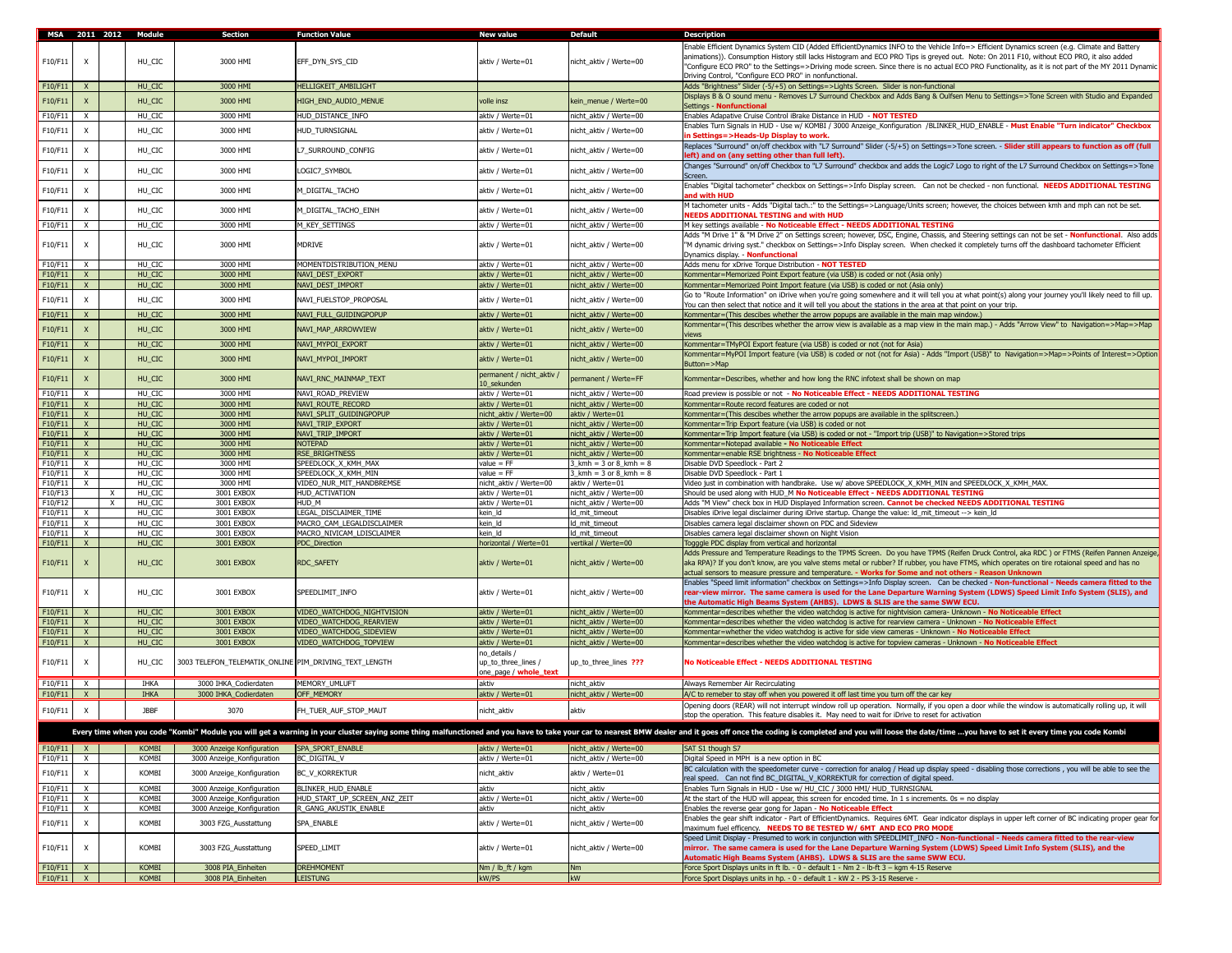| <b>MSA</b>         | 2011 2012                    |   | Module         | Section                                               | <b>Function Value</b>                |                           |                            |                                                                                                                                                                                           |
|--------------------|------------------------------|---|----------------|-------------------------------------------------------|--------------------------------------|---------------------------|----------------------------|-------------------------------------------------------------------------------------------------------------------------------------------------------------------------------------------|
|                    |                              |   |                |                                                       |                                      |                           |                            | Enable Efficient Dynamics System CID (Added EfficientDynamics INFO to the Vehicle Info=> Efficient Dynamics screen (e.g. Climate and Battery                                              |
|                    | $\boldsymbol{\mathsf{x}}$    |   | HU CIC         | 3000 HMI                                              | EFF DYN SYS CID                      |                           |                            | animations)). Consumption History still lacks Histogram and ECO PRO Tips is greyed out. Note: On 2011 F10, without ECO PRO, it also added                                                 |
| F10/F11            |                              |   |                |                                                       |                                      | aktiv / Werte=01          | nicht_aktiv / Werte=00     | "Configure ECO PRO" to the Settings=>Driving mode screen. Since there is no actual ECO PRO Functionality, as it is not part of the MY 2011 Dynamic                                        |
|                    |                              |   |                |                                                       |                                      |                           |                            | Driving Control, "Configure ECO PRO" in nonfunctional.                                                                                                                                    |
| F10/F11            | $\mathsf{X}$                 |   | HU_CIC         | 3000 HMI                                              | <b>HELLIGKEIT_AMBILIGHT</b>          |                           |                            | Adds "Brightness" Slider (-5/+5) on Settings=>Lights Screen. Slider is non-functional                                                                                                     |
|                    |                              |   |                |                                                       |                                      |                           |                            | Displays B & O sound menu - Removes L7 Surround Checkbox and Adds Bang & Oulfsen Menu to Settings=>Tone Screen with Studio and Expanded                                                   |
| F10/F11            | $\pmb{\mathsf{X}}$           |   | HU_CIC         | 3000 HMI                                              | HIGH_END_AUDIO_MENUE                 | volle insz                | kein_menue / Werte=00      | Settings - Nonfunctional                                                                                                                                                                  |
| F10/F11            | X                            |   | HU_CIC         | 3000 HMI                                              | HUD_DISTANCE_INFO                    | aktiv / Werte=01          | nicht_aktiv / Werte=00     | Enables Adapative Cruise Control iBrake Distance in HUD - NOT TESTED                                                                                                                      |
|                    |                              |   |                |                                                       |                                      |                           |                            | Enables Turn Signals in HUD - Use w/ KOMBI / 3000 Anzeige_Konfiguration /BLINKER_HUD_ENABLE - Must Enable "Turn indicator" Checkbox                                                       |
| F10/F11            | $\pmb{\chi}$                 |   | HU_CIC         | 3000 HMI                                              | HUD_TURNSIGNAL                       | aktiv / Werte=01          | nicht_aktiv / Werte=00     | n Settings=>Heads-Up Display to work                                                                                                                                                      |
|                    |                              |   |                |                                                       |                                      |                           |                            | Replaces "Surround" on/off checkbox with "L7 Surround" Slider (-5/+5) on Settings=>Tone screen. - Slider still appears to function as off (full                                           |
| F10/F11            | $\boldsymbol{\mathsf{x}}$    |   | HU_CIC         | 3000 HMI                                              | L7_SURROUND_CONFIG                   | aktiv / Werte=01          | nicht_aktiv / Werte=00     | left) and on (any setting other than full left).                                                                                                                                          |
|                    |                              |   |                |                                                       |                                      |                           |                            | Changes "Surround" on/off Checkbox to "L7 Surround" checkbox and adds the Logic7 Logo to right of the L7 Surround Checkbox on Settings=>Tone                                              |
| F10/F11            | $\pmb{\chi}$                 |   | HU_CIC         | 3000 HMI                                              | LOGIC7_SYMBOL                        | aktiv / Werte=01          | nicht_aktiv / Werte=00     | Screen.                                                                                                                                                                                   |
|                    |                              |   |                |                                                       |                                      |                           |                            | Enables "Digital tachometer" checkbox on Settings=>Info Display screen. Can not be checked - non functional. NEEDS ADDITIONAL TESTING                                                     |
| F10/F11            | $\boldsymbol{\mathsf{x}}$    |   | HU_CIC         | 3000 HMI                                              | M_DIGITAL_TACHO                      | aktiv / Werte=01          | nicht_aktiv / Werte=00     | and with HUD                                                                                                                                                                              |
|                    |                              |   |                |                                                       |                                      |                           |                            | M tachometer units - Adds "Digital tach.:" to the Settings=>Language/Units screen; however, the choices between kmh and mph can not be set.                                               |
| F10/F11            | X                            |   | HU_CIC         | 3000 HMI                                              | M_DIGITAL_TACHO_EINH                 | aktiv / Werte=01          | nicht_aktiv / Werte=00     | <b>NEEDS ADDITIONAL TESTING and with HUD</b>                                                                                                                                              |
| F10/F11            | X                            |   | HU CIC         | 3000 HMI                                              | M_KEY_SETTINGS                       | aktiv / Werte=01          | nicht_aktiv / Werte=00     | M key settings available - No Noticeable Effect - NEEDS ADDITIONAL TESTING                                                                                                                |
|                    |                              |   |                |                                                       |                                      |                           |                            | Adds "M Drive 1" & "M Drive 2" on Settings screen; however, DSC, Engine, Chassis, and Steering settings can not be set - Nonfunctional. Also adds                                         |
| F10/F11            | X                            |   | HU_CIC         | 3000 HMI                                              | MDRIVE                               | aktiv / Werte=01          | nicht_aktiv / Werte=00     | "M dynamic driving syst." checkbox on Settings=>Info Display screen. When checked it completely turns off the dashboard tachometer Efficient                                              |
|                    |                              |   |                |                                                       |                                      |                           |                            | Dynamics display. - Nonfunctional                                                                                                                                                         |
| F10/F11            | X                            |   | HU CIC         | 3000 HMI                                              | MOMENTDISTRIBUTION_MENU              | aktiv / Werte=01          | nicht aktiv / Werte=00     | Adds menu for xDrive Torque Distribution - NOT TESTED                                                                                                                                     |
| F10/F11            | $\mathsf{x}$                 |   | HU_CIC         | 3000 HMI                                              | NAVI DEST EXPORT                     | aktiv / Werte=01          | nicht aktiv / Werte=00     | Kommentar=Memorized Point Export feature (via USB) is coded or not (Asia only)                                                                                                            |
| F10/F11            | $\mathsf{X}$                 |   | HU_CIC         | 3000 HMI                                              | NAVI_DEST_IMPORT                     | aktiv / Werte=01          | nicht_aktiv / Werte=00     | Kommentar=Memorized Point Import feature (via USB) is coded or not (Asia only)                                                                                                            |
| F10/F11            | X                            |   | HU_CIC         | 3000 HMI                                              | NAVI_FUELSTOP_PROPOSAL               | aktiv / Werte=01          | nicht_aktiv / Werte=00     | Go to "Route Information" on iDrive when you're going somewhere and it will tell you at what point(s) along your journey you'll likely need to fill up.                                   |
|                    |                              |   |                |                                                       |                                      |                           |                            | You can then select that notice and it will tell you about the stations in the area at that point on your trip.                                                                           |
| F10/F11            | $\mathsf{x}$                 |   | HU_CIC         | 3000 HMI                                              | NAVI_FULL_GUIDINGPOPUP               | aktiv / Werte=01          | nicht_aktiv / Werte=00     | Kommentar=(This descibes whether the arrow popups are available in the main map window.)                                                                                                  |
| F10/F11            | $\mathsf X$                  |   | HU_CIC         | 3000 HMI                                              | NAVI_MAP_ARROWVIEW                   | aktiv / Werte=01          | nicht_aktiv / Werte=00     | Kommentar=(This describes whether the arrow view is available as a map view in the main map.) - Adds "Arrow View" to Navigation=>Map=>Map                                                 |
|                    |                              |   |                |                                                       |                                      |                           |                            | views                                                                                                                                                                                     |
| F10/F11            | $\boldsymbol{\mathsf{x}}$    |   | HU_CIC         | 3000 HMI                                              | NAVI MYPOI EXPORT                    | aktiv / Werte=01          | nicht aktiv / Werte=00     | Kommentar=TMyPOI Export feature (via USB) is coded or not (not for Asia)                                                                                                                  |
| F10/F11            | X                            |   | HU_CIC         | 3000 HMI                                              | NAVI_MYPOI_IMPORT                    | aktiv / Werte=01          | nicht_aktiv / Werte=00     | Kommentar=MyPOI Import feature (via USB) is coded or not (not for Asia) - Adds "Import (USB)" to Navigation=>Map=>Points of Interest=>Option                                              |
|                    |                              |   |                |                                                       |                                      |                           |                            | Button=>Map                                                                                                                                                                               |
| F10/F11            | $\boldsymbol{\mathsf{X}}$    |   | HU_CIC         | 3000 HMI                                              | NAVI_RNC_MAINMAP_TEXT                | permanent / nicht_aktiv / | permanent / Werte=FF       | Kommentar=Describes, whether and how long the RNC infotext shall be shown on map                                                                                                          |
|                    |                              |   |                |                                                       |                                      | 10_sekunden               |                            |                                                                                                                                                                                           |
| F10/F11            | $\mathbf{x}$                 |   | HU CIC         | 3000 HMI                                              | NAVI_ROAD_PREVIEW                    | aktiv / Werte=01          | nicht_aktiv / Werte=00     | Road preview is possible or not - No Noticeable Effect - NEEDS ADDITIONAL TESTING                                                                                                         |
| F10/F11            | $\mathsf{X}$                 |   | HU_CIC         | 3000 HMI                                              | NAVI ROUTE RECORD                    | aktiv / Werte=01          | nicht_aktiv / Werte=00     | Kommentar=Route record features are coded or not                                                                                                                                          |
| F10/F11            | $\mathsf{x}$                 |   | HU_CIC         | 3000 HMI                                              | NAVI SPLIT GUIDINGPOPUP              | nicht_aktiv / Werte=00    | laktiv / Werte=01          | Kommentar=(This descibes whether the arrow popups are available in the splitscreen.)                                                                                                      |
| F10/F11            | $\mathsf{x}$                 |   | HU_CIC         | 3000 HMI                                              | NAVI TRIP EXPORT                     | aktiv / Werte=01          | nicht aktiv / Werte=00     | Kommentar=Trip Export feature (via USB) is coded or not                                                                                                                                   |
| F10/F11            | $\mathsf{X}$                 |   | HU_CIC         | 3000 HMI                                              | NAVI_TRIP_IMPORT                     | aktiv / Werte=01          | nicht aktiv / Werte=00     | Kommentar=Trip Import feature (via USB) is coded or not - "Import trip (USB)" to Navigation=>Stored trips                                                                                 |
| F10/F11            | $\mathsf{X}$                 |   | HU_CIC         | 3000 HMI                                              | <b>NOTEPAD</b>                       | aktiv / Werte=01          | nicht aktiv / Werte=00     | Kommentar=Notepad available - No Noticeable Effect                                                                                                                                        |
| F10/F11            | $\mathsf{X}$                 |   | HU_CIC         | 3000 HMI                                              | <b>RSE_BRIGHTNESS</b>                | aktiv / Werte=01          | nicht_aktiv / Werte=00     | Kommentar=enable RSE brightness - No Noticeable Effect                                                                                                                                    |
| F10/F11            | $\mathsf{X}$                 |   | HU CIC         | 3000 HMI                                              | SPEEDLOCK X KMH MAX                  | $value = FF$              | $3_kmh = 3$ or $8_kmh = 8$ | Disable DVD Speedlock - Part 2                                                                                                                                                            |
| F10/F11            | $\boldsymbol{\mathsf{x}}$    |   | HU_CIC         | 3000 HMI                                              | SPEEDLOCK X KMH MIN                  | $value = FF$              | $3_kmh = 3$ or $8_kmh = 8$ | Disable DVD Speedlock - Part 1                                                                                                                                                            |
| F10/F11            | $\overline{\mathbf{x}}$      |   | HU_CIC         | 3000 HMI                                              | VIDEO_NUR_MIT_HANDBREMSE             | nicht_aktiv / Werte=00    | aktiv / Werte=01           | Video just in combination with handbrake. Use w/ above SPEEDLOCK X KMH MIN and SPEEDLOCK X KMH MAX.                                                                                       |
| F10/F13            |                              | X | HU_CIC         | 3001 EXBOX                                            | HUD_ACTIVATION                       | aktiv / Werte=01          | nicht_aktiv / Werte=00     | Should be used along with HUD_M No Noticeable Effect - NEEDS ADDITIONAL TESTING                                                                                                           |
| F10/F12            |                              | X | HU CIC         | 3001 EXBOX                                            | HUD M                                | aktiv / Werte=01          | nicht aktiv / Werte=00     | Adds "M View" check box in HUD Displayed Information screen. Cannot be checked NEEDS ADDITIONAL TESTING                                                                                   |
| F10/F11            | X                            |   | HU_CIC         | 3001 EXBOX                                            | LEGAL_DISCLAIMER_TIME                | kein_ld                   | ld mit timeout             | Disables iDrive legal disclaimer during iDrive startup. Change the value: ld_mit_timeout --> kein_ld                                                                                      |
| F10/F11            | X                            |   |                | 3001 EXBOX                                            | MACRO_CAM_LEGALDISCLAIMER            | kein_ld                   | ld_mit_timeout             | Disables camera legal disclaimer shown on PDC and Sideview                                                                                                                                |
|                    |                              |   | HU_CIC         |                                                       |                                      |                           |                            |                                                                                                                                                                                           |
| F10/F11            | X                            |   | HU CIC         | 3001 EXBOX                                            | MACRO_NIVICAM_LDISCLAIMER            | kein Id                   | ld mit timeout             | Disables camera legal disclaimer shown on Night Vision                                                                                                                                    |
| F10/F11            | $\mathsf{x}$                 |   | HU_CIC         | 3001 EXBOX                                            | <b>PDC_Direction</b>                 | horizontal / Werte=01     | vertikal / Werte=00        | Togggle PDC display from vertical and horizontal                                                                                                                                          |
|                    |                              |   |                |                                                       |                                      |                           |                            |                                                                                                                                                                                           |
| F10/F11            | $\mathsf{x}$                 |   | HU_CIC         | 3001 EXBOX                                            | RDC_SAFETY                           | aktiv / Werte=01          | nicht_aktiv / Werte=00     | aka RPA)? If you don't know, are you valve stems metal or rubber? If rubber, you have FTMS, which operates on tire rotaional speed and has no                                             |
|                    |                              |   |                |                                                       |                                      |                           |                            | actual sensors to measure pressure and temperature. - Works for Some and not others - Reason Unknown                                                                                      |
|                    |                              |   |                |                                                       |                                      |                           |                            | Enables "Speed limit information" checkbox on Settings=>Info Display screen. Can be checked - Non-functional - Needs camera fitted to the                                                 |
| F10/F11            | $\boldsymbol{\mathsf{x}}$    |   | HU_CIC         | 3001 EXBOX                                            | SPEEDLIMIT_INFO                      | aktiv / Werte=01          | nicht_aktiv / Werte=00     | rear-view mirror. The same camera is used for the Lane Departure Warning System (LDWS) Speed Limit Info System (SLIS), and                                                                |
|                    |                              |   |                |                                                       |                                      |                           |                            | the Automatic High Beams System (AHBS). LDWS & SLIS are the same SWW ECU.                                                                                                                 |
| F10/F11            | $\mathsf{X}$                 |   | HU_CIC         | 3001 EXBOX                                            | VIDEO_WATCHDOG_NIGHTVISION           | aktiv / Werte=01          | nicht_aktiv / Werte=00     | Kommentar=describes whether the video watchdog is active for nightvision camera- Unknown - No Noticeable Effect                                                                           |
| F10/F11            | $\mathsf{x}$                 |   | HU CIC         | 3001 EXBOX                                            | VIDEO WATCHDOG REARVIEW              | aktiv / Werte=01          | nicht_aktiv / Werte=00     | Kommentar=describes whether the video watchdog is active for rearview camera - Unknown - No Noticeable Effect                                                                             |
| F10/F11            | $\mathsf{x}$                 |   | HU CIC         | 3001 EXBOX                                            | VIDEO_WATCHDOG_SIDEVIEW              | aktiv / Werte=01          | nicht_aktiv / Werte=00     | Kommentar=whether the video watchdog is active for side view cameras - Unknown - No Noticeable Effect                                                                                     |
| F10/F11            | $\mathsf{x}$                 |   | HU_CIC         | 3001 EXBOX                                            | VIDEO_WATCHDOG_TOPVIEW               | aktiv / Werte=01          | nicht_aktiv / Werte=00     | Kommentar=describes whether the video watchdog is active for topview cameras - Unknown - No Noticeable Effect                                                                             |
|                    |                              |   |                |                                                       |                                      | no_details /              |                            |                                                                                                                                                                                           |
| F10/F11            | $\pmb{\chi}$                 |   | HU_CIC         | 3003 TELEFON_TELEMATIK_ONLINE PIM_DRIVING_TEXT_LENGTH |                                      | up_to_three_lines /       | up_to_three_lines ???      | No Noticeable Effect - NEEDS ADDITIONAL TESTING                                                                                                                                           |
|                    |                              |   |                |                                                       |                                      | one_page / whole_text     |                            |                                                                                                                                                                                           |
| F10/F11            | $\mathsf{X}$                 |   | IHKA           | 3000 IHKA_Codierdaten                                 | MEMORY UMLUFT                        | aktiv                     | nicht_aktiv                | Always Remember Air Recirculating                                                                                                                                                         |
| F10/F11            | $\mathsf{X}$                 |   | <b>IHKA</b>    | 3000 IHKA_Codierdaten                                 | <b>OFF MEMORY</b>                    | aktiv / Werte=01          | nicht_aktiv / Werte=00     | A/C to remeber to stay off when you powered it off last time you turn off the car key                                                                                                     |
|                    |                              |   | <b>JBBF</b>    | 3070                                                  |                                      |                           | aktiv                      | Opening doors (REAR) will not interrupt window roll up operation. Normally, if you open a door while the window is automatically rolling up, it will                                      |
| F10/F11            | $\pmb{\chi}$                 |   |                |                                                       | FH_TUER_AUF_STOP_MAUT                | nicht_aktiv               |                            | stop the operation. This feature disables it. May need to wait for iDrive to reset for activation                                                                                         |
|                    |                              |   |                |                                                       |                                      |                           |                            |                                                                                                                                                                                           |
|                    |                              |   |                |                                                       |                                      |                           | ir car to i                |                                                                                                                                                                                           |
| $F10/F11$ X        |                              |   | KOMBI          | 3000 Anzeige Konfiguration                            | SPA_SPORT_ENABLE                     | aktiv / Werte=01          | nicht_aktiv / Werte=00     | SAT S1 though S7                                                                                                                                                                          |
| F10/F11            | $\mathsf{X}$                 |   | KOMBI          | 3000 Anzeige_Konfiguration                            | <b>BC DIGITAL V</b>                  | aktiv / Werte=01          | nicht_aktiv / Werte=00     | Adds Pressure and Temperature Readings to the TPMS Screen. Do you have TPMS (Reifen Druck Control, aka RDC) or FTMS (Reifen Pannen Anzeige,<br>Digital Speed in MPH is a new option in BC |
|                    |                              |   |                |                                                       |                                      |                           |                            | BC calculation with the speedometer curve - correction for analog / Head up display speed - disabling those corrections , you will be able to see the                                     |
| F10/F11            | $\pmb{\chi}$                 |   | KOMBI          | 3000 Anzeige_Konfiguration                            | <b>BC V KORREKTUR</b>                | nicht_aktiv               | aktiv / Werte=01           | real speed. Can not find BC DIGITAL V KORREKTUR for correction of digital speed.                                                                                                          |
| F10/F11            | $\mathsf{x}$                 |   | KOMBI          | 3000 Anzeige_Konfiguration                            | BLINKER HUD ENABLE                   | aktiv                     | nicht aktiv                | Enables Turn Signals in HUD - Use w/ HU CIC / 3000 HMI/ HUD TURNSIGNAL                                                                                                                    |
| F10/F11            | $\mathsf{X}$                 |   | KOMBI          | 3000 Anzeige_Konfiguration                            | HUD START UP SCREEN ANZ ZEIT         | aktiv / Werte=01          | nicht aktiv / Werte=00     | At the start of the HUD will appear, this screen for encoded time. In 1 s increments. 0s = no display                                                                                     |
| F10/F11            | $\mathsf{X}$                 |   | KOMBI          | 3000 Anzeige_Konfiguration                            | R_GANG_AKUSTIK_ENABLE                | aktiv                     | nicht_aktiv                | Enables the reverse gear gong for Japan - No Noticeable Effect                                                                                                                            |
| F10/F11            | $\pmb{\chi}$                 |   | KOMBI          | 3003 FZG_Ausstattung                                  | SPA ENABLE                           | aktiv / Werte=01          | nicht_aktiv / Werte=00     | Enables the gear shift indicator - Part of EfficientDynamics. Requires 6MT. Gear indicator displays in upper left corner of BC indicating proper gear for                                 |
|                    |                              |   |                |                                                       |                                      |                           |                            | maximum fuel efficency. NEEDS TO BE TESTED W/ 6MT AND ECO PRO MODE                                                                                                                        |
|                    |                              |   |                |                                                       |                                      |                           |                            | Speed Limit Display - Presumed to work in conjunction with SPEEDLIMIT_INFO - Non-functional - Needs camera fitted to the rear-view                                                        |
| F10/F11            | X                            |   | KOMBI          | 3003 FZG_Ausstattung                                  | SPEED_LIMIT                          | aktiv / Werte=01          | nicht_aktiv / Werte=00     | mirror. The same camera is used for the Lane Departure Warning System (LDWS) Speed Limit Info System (SLIS), and the                                                                      |
|                    |                              |   |                |                                                       |                                      |                           |                            | Automatic High Beams System (AHBS). LDWS & SLIS are the same SWW ECU.                                                                                                                     |
| F10/F11<br>F10/F11 | $\mathbf{x}$<br>$\mathbf{x}$ |   | KOMBI<br>KOMBI | 3008 PIA Einheiten<br>3008 PIA Einheiten              | <b>DREHMOMENT</b><br><b>LEISTUNG</b> | Nm / lb_ft / kgm<br>kW/PS | <b>Nm</b><br>kw            | Force Sport Displays units in ft lb. - 0 - default 1 - Nm 2 - lb-ft 3 - kgm 4-15 Reserve<br>Force Sport Displays units in hp. - 0 - default 1 - kW 2 - PS 3-15 Reserve -                  |